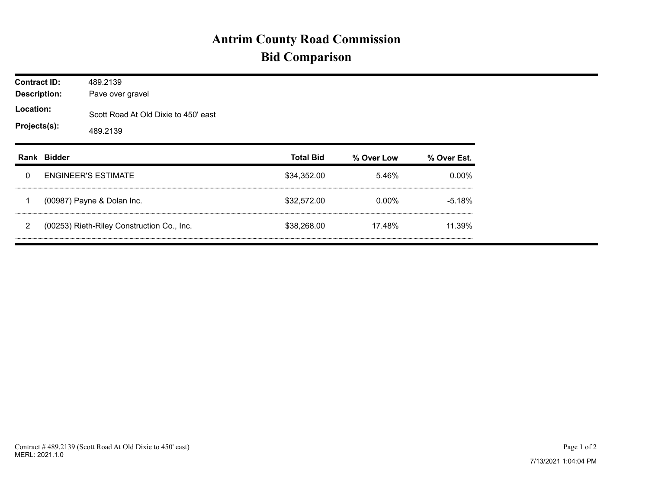## **Antrim County Road Commission Bid Comparison**

| <b>Contract ID:</b><br><b>Description:</b><br>Location:<br>Projects(s): |             | 489.2139<br>Pave over gravel                     |                  |            |             |  |  |  |  |
|-------------------------------------------------------------------------|-------------|--------------------------------------------------|------------------|------------|-------------|--|--|--|--|
|                                                                         |             | Scott Road At Old Dixie to 450' east<br>489.2139 |                  |            |             |  |  |  |  |
|                                                                         | Rank Bidder |                                                  | <b>Total Bid</b> | % Over Low | % Over Est. |  |  |  |  |
| 0                                                                       |             | <b>ENGINEER'S ESTIMATE</b>                       | \$34,352.00      | 5.46%      | $0.00\%$    |  |  |  |  |
|                                                                         |             | (00987) Payne & Dolan Inc.                       | \$32,572.00      | $0.00\%$   | $-5.18%$    |  |  |  |  |
| 2                                                                       |             | (00253) Rieth-Riley Construction Co., Inc.       | \$38,268.00      | 17.48%     | 11.39%      |  |  |  |  |